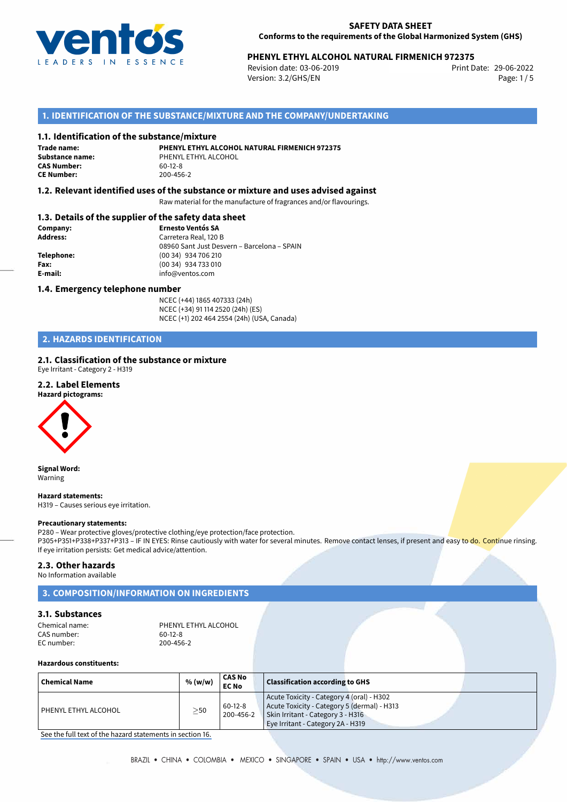

# **PHENYL ETHYL ALCOHOL NATURAL FIRMENICH 972375**<br>29-06-2022 Print Date: 03-06-2019

Revision date: 03-06-2019 Version: 3.2/GHS/EN Page: 1/5

## **1. IDENTIFICATION OF THE SUBSTANCE/MIXTURE AND THE COMPANY/UNDERTAKING**

### **1.1. Identification of the substance/mixture**

**Trade name: CAS Number: CE Number:** 200-456-2

**PHENYL ETHYL ALCOHOL NATURAL FIRMENICH 972375 Substance name:** PHENYL ETHYL ALCOHOL<br> **CAS Number:** 60-12-8

## **1.2. Relevant identified uses of the substance or mixture and uses advised against**

Raw material for the manufacture of fragrances and/or flavourings.

## **1.3. Details of the supplier of the safety data sheet**

| Company:        | <b>Ernesto Ventós SA</b>                    |
|-----------------|---------------------------------------------|
| <b>Address:</b> | Carretera Real, 120 B                       |
|                 | 08960 Sant Just Desvern - Barcelona - SPAIN |
| Telephone:      | (00 34) 934 706 210                         |
| Fax:            | (00 34) 934 733 010                         |
| E-mail:         | info@ventos.com                             |
|                 |                                             |

### **1.4. Emergency telephone number**

NCEC (+44) 1865 407333 (24h) NCEC (+34) 91 114 2520 (24h) (ES) NCEC (+1) 202 464 2554 (24h) (USA, Canada)

## **2. HAZARDS IDENTIFICATION**

### **2.1. Classification of the substance or mixture**

Eye Irritant - Category 2 - H319

### **2.2. Label Elements**

**Hazard pictograms:**



**Signal Word:** Warning

**Hazard statements:**

H319 – Causes serious eye irritation.

#### **Precautionary statements:**

P280 – Wear protective gloves/protective clothing/eye protection/face protection. P305+P351+P338+P337+P313 – IF IN EYES: Rinse cautiously with water for several minutes. Remove contact lenses, if present and easy to do. Continue rinsing. If eye irritation persists: Get medical advice/attention.

#### **2.3. Other hazards**

No Information available

## **3. COMPOSITION/INFORMATION ON INGREDIENTS**

### **3.1. Substances**

| Chemical name: | PHENYL ETHYL ALCOHOL |
|----------------|----------------------|
| CAS number:    | $60-12-8$            |
| EC number:     | 200-456-2            |

### **Hazardous constituents:**

| <b>Chemical Name</b> | % (w/w) | <b>CAS No</b><br><b>EC No</b> | <b>Classification according to GHS</b>                                                                                                                             |
|----------------------|---------|-------------------------------|--------------------------------------------------------------------------------------------------------------------------------------------------------------------|
| PHENYL ETHYL ALCOHOL | >50     | $60-12-8$<br>200-456-2        | Acute Toxicity - Category 4 (oral) - H302<br>Acute Toxicity - Category 5 (dermal) - H313<br>Skin Irritant - Category 3 - H316<br>Eye Irritant - Category 2A - H319 |

[See the full text of the hazard statements in section 16.](#page--1-0)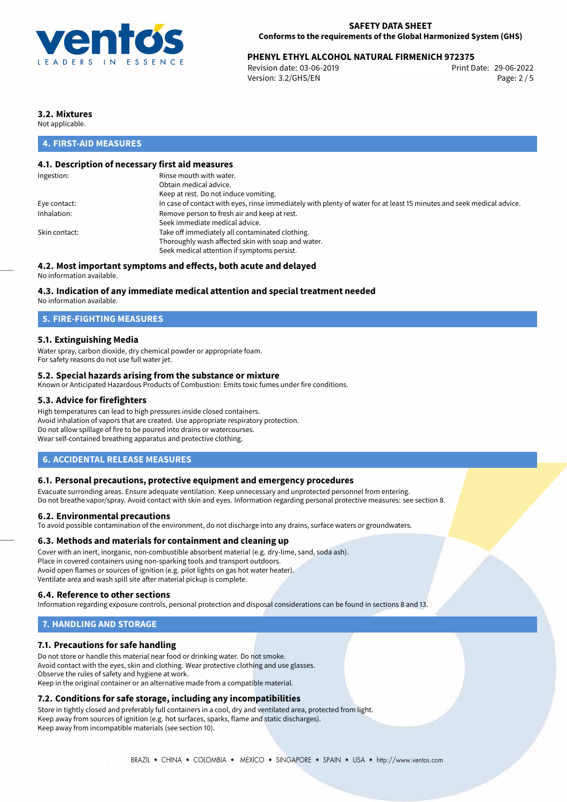

# **PHENYL ETHYL ALCOHOL NATURAL FIRMENICH 972375**<br>Revision date: 03-06-2019<br>Print Date: 29-06-2022

Revision date: 03-06-2019 Version: 3.2/GHS/EN Page: 2 / 5

# **3.2. Mixtures**

Not applicable.

## **4. FIRST-AID MEASURES**

## **4.1. Description of necessary first aid measures**

| Ingestion:    | Rinse mouth with water.                                                                                               |
|---------------|-----------------------------------------------------------------------------------------------------------------------|
|               | Obtain medical advice.                                                                                                |
|               | Keep at rest. Do not induce vomiting.                                                                                 |
| Eye contact:  | In case of contact with eyes, rinse immediately with plenty of water for at least 15 minutes and seek medical advice. |
| Inhalation:   | Remove person to fresh air and keep at rest.                                                                          |
|               | Seek immediate medical advice.                                                                                        |
| Skin contact: | Take off immediately all contaminated clothing.                                                                       |
|               | Thoroughly wash affected skin with soap and water.                                                                    |
|               | Seek medical attention if symptoms persist.                                                                           |
|               |                                                                                                                       |

## **4.2. Most important symptoms and effects, both acute and delayed**

No information available.

## **4.3. Indication of any immediate medical attention and special treatment needed**

No information available.

## **5. FIRE-FIGHTING MEASURES**

## **5.1. Extinguishing Media**

Water spray, carbon dioxide, dry chemical powder or appropriate foam. For safety reasons do not use full water jet.

### **5.2. Special hazards arising from the substance or mixture**

Known or Anticipated Hazardous Products of Combustion: Emits toxic fumes under fire conditions.

### **5.3. Advice for firefighters**

High temperatures can lead to high pressures inside closed containers. Avoid inhalation of vapors that are created. Use appropriate respiratory protection. Do not allow spillage of fire to be poured into drains or watercourses. Wear self-contained breathing apparatus and protective clothing.

## **6. ACCIDENTAL RELEASE MEASURES**

### **6.1. Personal precautions, protective equipment and emergency procedures**

Evacuate surronding areas. Ensure adequate ventilation. Keep unnecessary and unprotected personnel from entering. Do not breathe vapor/spray. Avoid contact with skin and eyes. Information regarding personal protective measures: see section 8.

### **6.2. Environmental precautions**

To avoid possible contamination of the environment, do not discharge into any drains, surface waters or groundwaters.

### **6.3. Methods and materials for containment and cleaning up**

Cover with an inert, inorganic, non-combustible absorbent material (e.g. dry-lime, sand, soda ash). Place in covered containers using non-sparking tools and transport outdoors. Avoid open flames or sources of ignition (e.g. pilot lights on gas hot water heater). Ventilate area and wash spill site after material pickup is complete.

### **6.4. Reference to other sections**

Information regarding exposure controls, personal protection and disposal considerations can be found in sections 8 and 13.

## **7. HANDLING AND STORAGE**

## **7.1. Precautions for safe handling**

Do not store or handle this material near food or drinking water. Do not smoke. Avoid contact with the eyes, skin and clothing. Wear protective clothing and use glasses. Observe the rules of safety and hygiene at work. Keep in the original container or an alternative made from a compatible material.

## **7.2. Conditions for safe storage, including any incompatibilities**

Store in tightly closed and preferably full containers in a cool, dry and ventilated area, protected from light. Keep away from sources of ignition (e.g. hot surfaces, sparks, flame and static discharges). Keep away from incompatible materials (see section 10).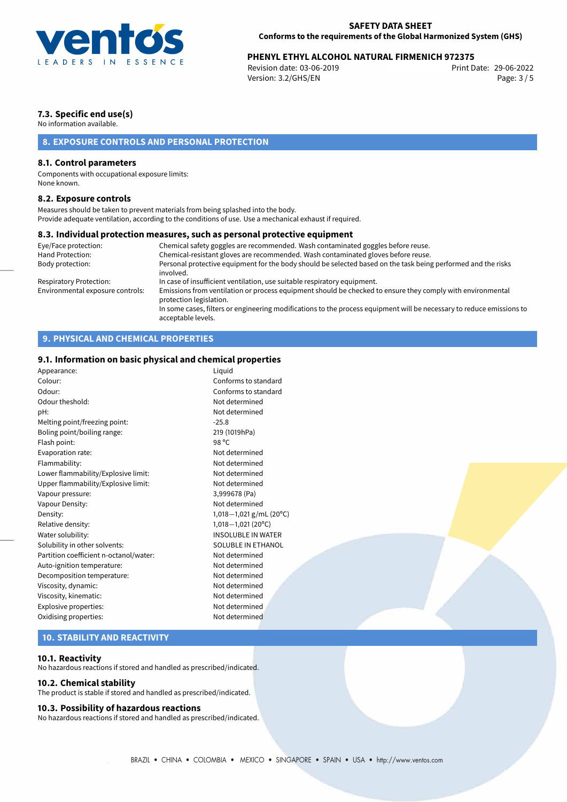

# **PHENYL ETHYL ALCOHOL NATURAL FIRMENICH 972375**<br>29-06-2022 Print Date: 03-06-2019

Revision date: 03-06-2019 Version: 3.2/GHS/EN Page: 3 / 5

# **7.3. Specific end use(s)**

No information available.

# **8. EXPOSURE CONTROLS AND PERSONAL PROTECTION**

## **8.1. Control parameters**

Components with occupational exposure limits: None known.

### **8.2. Exposure controls**

Measures should be taken to prevent materials from being splashed into the body. Provide adequate ventilation, according to the conditions of use. Use a mechanical exhaust if required.

### **8.3. Individual protection measures, such as personal protective equipment**

| Eye/Face protection:             | Chemical safety goggles are recommended. Wash contaminated goggles before reuse.                                                            |
|----------------------------------|---------------------------------------------------------------------------------------------------------------------------------------------|
| Hand Protection:                 | Chemical-resistant gloves are recommended. Wash contaminated gloves before reuse.                                                           |
| Body protection:                 | Personal protective equipment for the body should be selected based on the task being performed and the risks<br>involved.                  |
| Respiratory Protection:          | In case of insufficient ventilation, use suitable respiratory equipment.                                                                    |
| Environmental exposure controls: | Emissions from ventilation or process equipment should be checked to ensure they comply with environmental<br>protection legislation.       |
|                                  | In some cases, filters or engineering modifications to the process equipment will be necessary to reduce emissions to<br>acceptable levels. |

# **9. PHYSICAL AND CHEMICAL PROPERTIES**

## **9.1. Information on basic physical and chemical properties**

| Appearance:                            | Liguid                     |
|----------------------------------------|----------------------------|
| Colour:                                | Conforms to standard       |
| Odour:                                 | Conforms to standard       |
| Odour theshold:                        | Not determined             |
| pH:                                    | Not determined             |
| Melting point/freezing point:          | $-25.8$                    |
| Boling point/boiling range:            | 219 (1019hPa)              |
| Flash point:                           | 98 °C                      |
| Evaporation rate:                      | Not determined             |
| Flammability:                          | Not determined             |
| Lower flammability/Explosive limit:    | Not determined             |
| Upper flammability/Explosive limit:    | Not determined             |
| Vapour pressure:                       | 3,999678 (Pa)              |
| Vapour Density:                        | Not determined             |
| Density:                               | 1,018 - 1,021 g/mL (20°C)  |
| Relative density:                      | $1,018-1,021(20^{\circ}C)$ |
| Water solubility:                      | <b>INSOLUBLE IN WATER</b>  |
| Solubility in other solvents:          | <b>SOLUBLE IN ETHANOL</b>  |
| Partition coefficient n-octanol/water: | Not determined             |
| Auto-ignition temperature:             | Not determined             |
| Decomposition temperature:             | Not determined             |
| Viscosity, dynamic:                    | Not determined             |
| Viscosity, kinematic:                  | Not determined             |
| Explosive properties:                  | Not determined             |
| Oxidising properties:                  | Not determined             |
|                                        |                            |

## **10. STABILITY AND REACTIVITY**

### **10.1. Reactivity**

No hazardous reactions if stored and handled as prescribed/indicated.

### **10.2. Chemical stability**

The product is stable if stored and handled as prescribed/indicated.

### **10.3. Possibility of hazardous reactions**

No hazardous reactions if stored and handled as prescribed/indicated.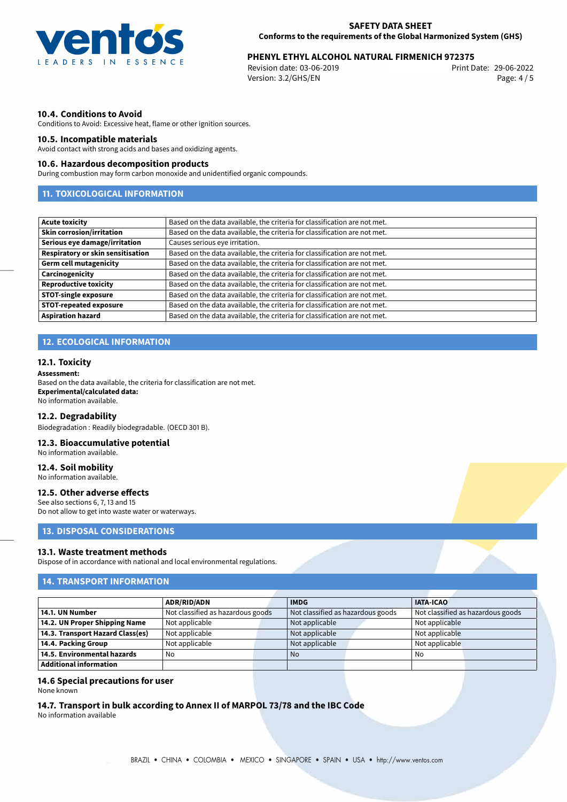

# **PHENYL ETHYL ALCOHOL NATURAL FIRMENICH 972375**<br>29-06-2022 Print Date: 03-06-2019

Revision date: 03-06-2019 Version: 3.2/GHS/EN Page: 4 / 5

## **10.4. Conditions to Avoid**

Conditions to Avoid: Excessive heat, flame or other ignition sources.

### **10.5. Incompatible materials**

Avoid contact with strong acids and bases and oxidizing agents.

### **10.6. Hazardous decomposition products**

During combustion may form carbon monoxide and unidentified organic compounds.

## **11. TOXICOLOGICAL INFORMATION**

| <b>Acute toxicity</b>             | Based on the data available, the criteria for classification are not met. |
|-----------------------------------|---------------------------------------------------------------------------|
| <b>Skin corrosion/irritation</b>  | Based on the data available, the criteria for classification are not met. |
| Serious eye damage/irritation     | Causes serious eye irritation.                                            |
| Respiratory or skin sensitisation | Based on the data available, the criteria for classification are not met. |
| <b>Germ cell mutagenicity</b>     | Based on the data available, the criteria for classification are not met. |
| Carcinogenicity                   | Based on the data available, the criteria for classification are not met. |
| <b>Reproductive toxicity</b>      | Based on the data available, the criteria for classification are not met. |
| <b>STOT-single exposure</b>       | Based on the data available, the criteria for classification are not met. |
| <b>STOT-repeated exposure</b>     | Based on the data available, the criteria for classification are not met. |
| <b>Aspiration hazard</b>          | Based on the data available, the criteria for classification are not met. |

# **12. ECOLOGICAL INFORMATION**

### **12.1. Toxicity**

**Assessment:**

Based on the data available, the criteria for classification are not met. **Experimental/calculated data:** No information available.

#### **12.2. Degradability**

Biodegradation : Readily biodegradable. (OECD 301 B).

### **12.3. Bioaccumulative potential**

No information available.

## **12.4. Soil mobility**

No information available.

## **12.5. Other adverse effects**

See also sections 6, 7, 13 and 15 Do not allow to get into waste water or waterways.

# **13. DISPOSAL CONSIDERATIONS**

#### **13.1. Waste treatment methods**

Dispose of in accordance with national and local environmental regulations.

### **14. TRANSPORT INFORMATION**

|                                  | <b>ADR/RID/ADN</b>                |  | <b>IMDG</b>                       |  | <b>IATA-ICAO</b>                  |  |
|----------------------------------|-----------------------------------|--|-----------------------------------|--|-----------------------------------|--|
| 14.1. UN Number                  | Not classified as hazardous goods |  | Not classified as hazardous goods |  | Not classified as hazardous goods |  |
| 14.2. UN Proper Shipping Name    | Not applicable                    |  | Not applicable                    |  | Not applicable                    |  |
| 14.3. Transport Hazard Class(es) | Not applicable                    |  | Not applicable                    |  | Not applicable                    |  |
| 14.4. Packing Group              | Not applicable                    |  | Not applicable                    |  | Not applicable                    |  |
| 14.5. Environmental hazards      | No                                |  | No                                |  | No                                |  |
| Additional information           |                                   |  |                                   |  |                                   |  |

### **14.6 Special precautions for user**

None known

**14.7. Transport in bulk according to Annex II of MARPOL 73/78 and the IBC Code**

No information available